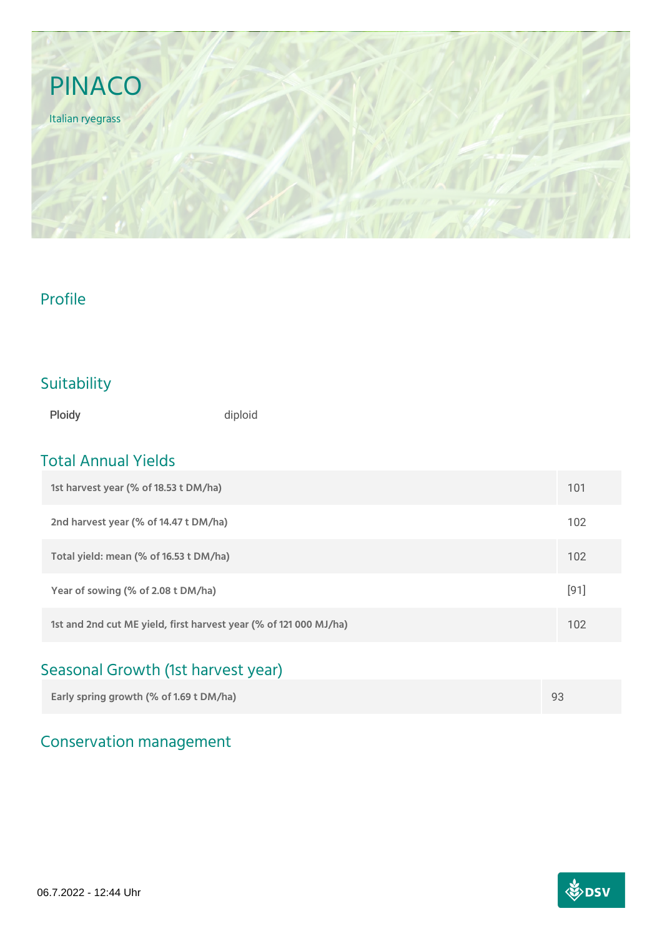

### Profile

## Suitability

Ploidy diploid

### Total Annual Yields

| 1st harvest year (% of 18.53 t DM/ha)                             | 101    |
|-------------------------------------------------------------------|--------|
| 2nd harvest year (% of 14.47 t DM/ha)                             | 102    |
| Total yield: mean (% of 16.53 t DM/ha)                            | 102    |
| Year of sowing (% of 2.08 t DM/ha)                                | $[91]$ |
| 1st and 2nd cut ME yield, first harvest year (% of 121 000 MJ/ha) | 102    |

# Seasonal Growth (1st harvest year)

| Early spring growth (% of 1.69 t DM/ha) |  |
|-----------------------------------------|--|
|                                         |  |

# Conservation management